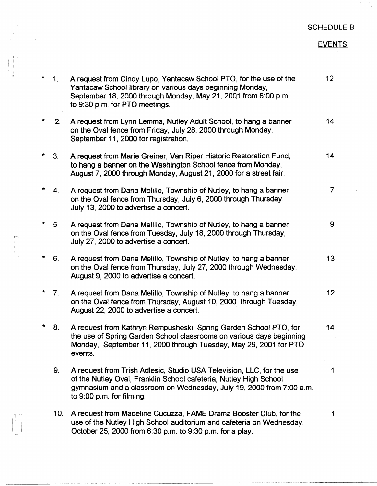## SCHEDULE B

## EVENTS

| 1 <sub>1</sub> | A request from Cindy Lupo, Yantacaw School PTO, for the use of the<br>Yantacaw School library on various days beginning Monday,<br>September 18, 2000 through Monday, May 21, 2001 from 8:00 p.m.<br>to 9:30 p.m. for PTO meetings.             | 12 <sub>2</sub> |
|----------------|-------------------------------------------------------------------------------------------------------------------------------------------------------------------------------------------------------------------------------------------------|-----------------|
| 2.             | A request from Lynn Lemma, Nutley Adult School, to hang a banner<br>on the Oval fence from Friday, July 28, 2000 through Monday,<br>September 11, 2000 for registration.                                                                        | 14              |
| 3 <sub>1</sub> | A request from Marie Greiner, Van Riper Historic Restoration Fund,<br>to hang a banner on the Washington School fence from Monday,<br>August 7, 2000 through Monday, August 21, 2000 for a street fair.                                         | 14              |
| 4.             | A request from Dana Melillo, Township of Nutley, to hang a banner<br>on the Oval fence from Thursday, July 6, 2000 through Thursday,<br>July 13, 2000 to advertise a concert.                                                                   | $\overline{7}$  |
| 5 <sub>1</sub> | A request from Dana Melillo, Township of Nutley, to hang a banner<br>on the Oval fence from Tuesday, July 18, 2000 through Thursday,<br>July 27, 2000 to advertise a concert.                                                                   | 9               |
| 6.             | A request from Dana Melillo, Township of Nutley, to hang a banner<br>on the Oval fence from Thursday, July 27, 2000 through Wednesday,<br>August 9, 2000 to advertise a concert.                                                                | 13              |
| 7.             | A request from Dana Melillo, Township of Nutley, to hang a banner<br>on the Oval fence from Thursday, August 10, 2000 through Tuesday,<br>August 22, 2000 to advertise a concert.                                                               | 12              |
| 8.             | A request from Kathryn Rempusheski, Spring Garden School PTO, for<br>the use of Spring Garden School classrooms on various days beginning<br>Monday, September 11, 2000 through Tuesday, May 29, 2001 for PTO<br>events.                        | 14              |
| 9.             | A request from Trish Adlesic, Studio USA Television, LLC, for the use<br>of the Nutley Oval, Franklin School cafeteria, Nutley High School<br>gymnasium and a classroom on Wednesday, July 19, 2000 from 7:00 a.m.<br>to 9:00 p.m. for filming. | 1               |
| 10.            | A request from Madeline Cucuzza, FAME Drama Booster Club, for the<br>use of the Nutley High School auditorium and cafeteria on Wednesday.<br>October 25, 2000 from 6:30 p.m. to 9:30 p.m. for a play.                                           | 1               |

 $\mathcal{V} \rightarrow \mathcal{V}$ 

 $\begin{pmatrix} 1 \\ -1 \end{pmatrix}$ 

I r·,

! I

 $\begin{array}{c} \uparrow \\ \uparrow \\ \downarrow \end{array}$ 

 $\frac{1}{1}$